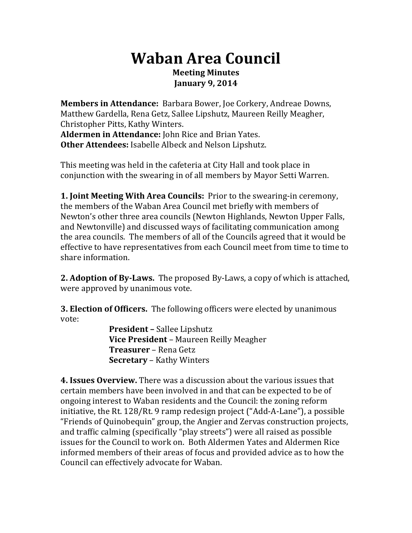# **Waban%Area%Council Meeting%Minutes January 9, 2014**

**Members in Attendance:** Barbara Bower, Joe Corkery, Andreae Downs, Matthew Gardella, Rena Getz, Sallee Lipshutz, Maureen Reilly Meagher, Christopher Pitts, Kathy Winters. Aldermen in Attendance: John Rice and Brian Yates. **Other Attendees: Isabelle Albeck and Nelson Lipshutz.** 

This meeting was held in the cafeteria at City Hall and took place in conjunction with the swearing in of all members by Mayor Setti Warren.

**1. Joint Meeting With Area Councils: Prior to the swearing-in ceremony,** the members of the Waban Area Council met briefly with members of Newton's other three area councils (Newton Highlands, Newton Upper Falls, and Newtonville) and discussed ways of facilitating communication among the area councils. The members of all of the Councils agreed that it would be effective to have representatives from each Council meet from time to time to share information.

**2. Adoption of By-Laws.** The proposed By-Laws, a copy of which is attached, were approved by unanimous vote.

**3. Election of Officers.** The following officers were elected by unanimous vote:

**President –** Sallee Lipshutz **Vice President** – Maureen Reilly Meagher **Treasurer** – Rena Getz **Secretary** – Kathy Winters

**4. Issues Overview.** There was a discussion about the various issues that certain members have been involved in and that can be expected to be of ongoing interest to Waban residents and the Council: the zoning reform initiative, the Rt.  $128/Rt.$  9 ramp redesign project ("Add-A-Lane"), a possible "Friends of Quinobequin" group, the Angier and Zervas construction projects, and traffic calming (specifically "play streets") were all raised as possible issues for the Council to work on. Both Aldermen Yates and Aldermen Rice informed members of their areas of focus and provided advice as to how the Council can effectively advocate for Waban.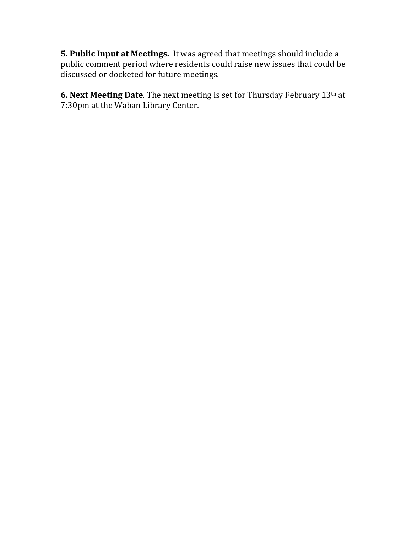**5. Public Input at Meetings.** It was agreed that meetings should include a public comment period where residents could raise new issues that could be discussed or docketed for future meetings.

**6. Next Meeting Date**. The next meeting is set for Thursday February 13<sup>th</sup> at 7:30pm at the Waban Library Center.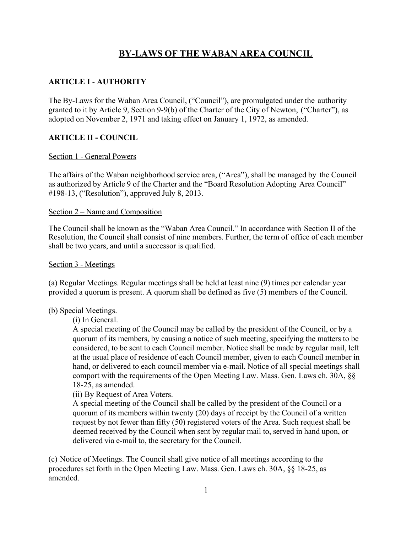# **BY-LAWS OF THE WABAN AREA COUNCIL**

# **ARTICLE I** - **AUTHORITY**

The By-Laws for the Waban Area Council, ("Council"), are promulgated under the authority granted to it by Article 9, Section 9-9(b) of the Charter of the City of Newton, ("Charter"), as adopted on November 2, 1971 and taking effect on January 1, 1972, as amended.

#### **ARTICLE II - COUNCIL**

#### Section 1 - General Powers

The affairs of the Waban neighborhood service area, ("Area"), shall be managed by the Council as authorized by Article 9 of the Charter and the "Board Resolution Adopting Area Council" #198-13, ("Resolution"), approved July 8, 2013.

#### Section 2 – Name and Composition

The Council shall be known as the "Waban Area Council." In accordance with Section II of the Resolution, the Council shall consist of nine members. Further, the term of office of each member shall be two years, and until a successor is qualified.

#### Section 3 - Meetings

(a) Regular Meetings. Regular meetings shall be held at least nine (9) times per calendar year provided a quorum is present. A quorum shall be defined as five (5) members of the Council.

#### (b) Special Meetings.

(i) In General.

A special meeting of the Council may be called by the president of the Council, or by a quorum of its members, by causing a notice of such meeting, specifying the matters to be considered, to be sent to each Council member. Notice shall be made by regular mail, left at the usual place of residence of each Council member, given to each Council member in hand, or delivered to each council member via e-mail. Notice of all special meetings shall comport with the requirements of the Open Meeting Law. Mass. Gen. Laws ch. 30A, §§ 18-25, as amended.

(ii) By Request of Area Voters.

A special meeting of the Council shall be called by the president of the Council or a quorum of its members within twenty (20) days of receipt by the Council of a written request by not fewer than fifty (50) registered voters of the Area. Such request shall be deemed received by the Council when sent by regular mail to, served in hand upon, or delivered via e-mail to, the secretary for the Council.

(c) Notice of Meetings. The Council shall give notice of all meetings according to the procedures set forth in the Open Meeting Law. Mass. Gen. Laws ch. 30A, §§ 18-25, as amended.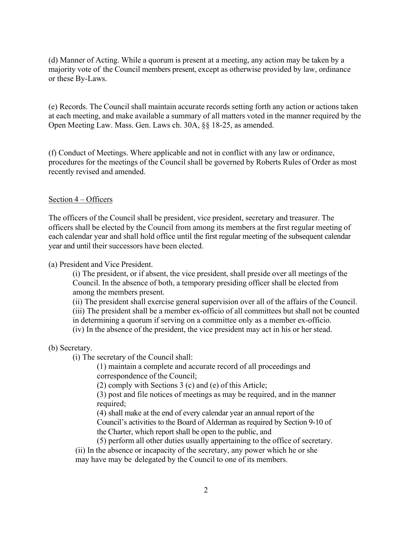(d) Manner of Acting. While a quorum is present at a meeting, any action may be taken by a majority vote of the Council members present, except as otherwise provided by law, ordinance or these By-Laws.

(e) Records. The Council shall maintain accurate records setting forth any action or actions taken at each meeting, and make available a summary of all matters voted in the manner required by the Open Meeting Law. Mass. Gen. Laws ch. 30A, §§ 18-25, as amended.

(f) Conduct of Meetings. Where applicable and not in conflict with any law or ordinance, procedures for the meetings of the Council shall be governed by Roberts Rules of Order as most recently revised and amended.

#### Section 4 – Officers

The officers of the Council shall be president, vice president, secretary and treasurer. The officers shall be elected by the Council from among its members at the first regular meeting of each calendar year and shall hold office until the first regular meeting of the subsequent calendar year and until their successors have been elected.

(a) President and Vice President.

(i) The president, or if absent, the vice president, shall preside over all meetings of the Council. In the absence of both, a temporary presiding officer shall be elected from among the members present.

(ii) The president shall exercise general supervision over all of the affairs of the Council.

(iii) The president shall be a member ex-officio of all committees but shall not be counted

in determining a quorum if serving on a committee only as a member ex-officio.

(iv) In the absence of the president, the vice president may act in his or her stead.

#### (b) Secretary.

(i) The secretary of the Council shall:

(1) maintain a complete and accurate record of all proceedings and correspondence of the Council;

(2) comply with Sections 3 (c) and (e) of this Article;

(3) post and file notices of meetings as may be required, and in the manner required;

(4) shall make at the end of every calendar year an annual report of the Council's activities to the Board of Alderman as required by Section 9-10 of the Charter, which report shall be open to the public, and

(5) perform all other duties usually appertaining to the office of secretary.

(ii) In the absence or incapacity of the secretary, any power which he or she may have may be delegated by the Council to one of its members.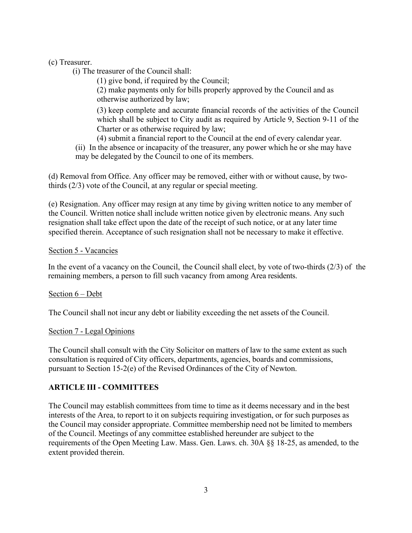(c) Treasurer.

(i) The treasurer of the Council shall:

(1) give bond, if required by the Council;

(2) make payments only for bills properly approved by the Council and as otherwise authorized by law;

(3) keep complete and accurate financial records of the activities of the Council which shall be subject to City audit as required by Article 9, Section 9-11 of the Charter or as otherwise required by law;

(4) submit a financial report to the Council at the end of every calendar year.

(ii) In the absence or incapacity of the treasurer, any power which he or she may have may be delegated by the Council to one of its members.

(d) Removal from Office. Any officer may be removed, either with or without cause, by twothirds (2/3) vote of the Council, at any regular or special meeting.

(e) Resignation. Any officer may resign at any time by giving written notice to any member of the Council. Written notice shall include written notice given by electronic means. Any such resignation shall take effect upon the date of the receipt of such notice, or at any later time specified therein. Acceptance of such resignation shall not be necessary to make it effective.

#### Section 5 - Vacancies

In the event of a vacancy on the Council, the Council shall elect, by vote of two-thirds (2/3) of the remaining members, a person to fill such vacancy from among Area residents.

# Section 6 – Debt

The Council shall not incur any debt or liability exceeding the net assets of the Council.

#### Section 7 - Legal Opinions

The Council shall consult with the City Solicitor on matters of law to the same extent as such consultation is required of City officers, departments, agencies, boards and commissions, pursuant to Section 15-2(e) of the Revised Ordinances of the City of Newton.

# **ARTICLE III - COMMITTEES**

The Council may establish committees from time to time as it deems necessary and in the best interests of the Area, to report to it on subjects requiring investigation, or for such purposes as the Council may consider appropriate. Committee membership need not be limited to members of the Council. Meetings of any committee established hereunder are subject to the requirements of the Open Meeting Law. Mass. Gen. Laws. ch. 30A §§ 18-25, as amended, to the extent provided therein.